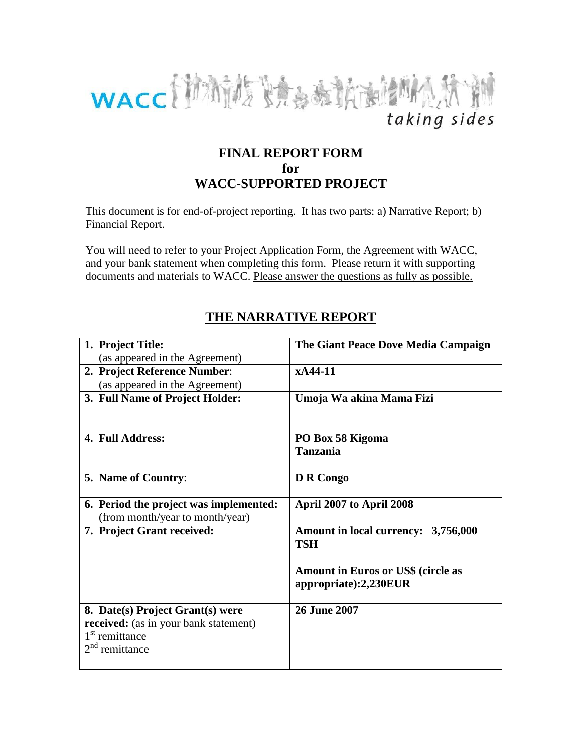

# **FINAL REPORT FORM for WACC-SUPPORTED PROJECT**

This document is for end-of-project reporting. It has two parts: a) Narrative Report; b) Financial Report.

You will need to refer to your Project Application Form, the Agreement with WACC, and your bank statement when completing this form. Please return it with supporting documents and materials to WACC. Please answer the questions as fully as possible.

| 1. Project Title:                            | The Giant Peace Dove Media Campaign                                |
|----------------------------------------------|--------------------------------------------------------------------|
| (as appeared in the Agreement)               |                                                                    |
| 2. Project Reference Number:                 | xA44-11                                                            |
| (as appeared in the Agreement)               |                                                                    |
| 3. Full Name of Project Holder:              | Umoja Wa akina Mama Fizi                                           |
| 4. Full Address:                             | PO Box 58 Kigoma                                                   |
|                                              | <b>Tanzania</b>                                                    |
| <b>5. Name of Country:</b>                   | D R Congo                                                          |
| 6. Period the project was implemented:       | April 2007 to April 2008                                           |
| (from month/year to month/year)              |                                                                    |
| 7. Project Grant received:                   | Amount in local currency: 3,756,000<br><b>TSH</b>                  |
|                                              | <b>Amount in Euros or US\$ (circle as</b><br>appropriate):2,230EUR |
| 8. Date(s) Project Grant(s) were             | <b>26 June 2007</b>                                                |
| <b>received:</b> (as in your bank statement) |                                                                    |
| $1st$ remittance                             |                                                                    |
| remittance                                   |                                                                    |
|                                              |                                                                    |

# **THE NARRATIVE REPORT**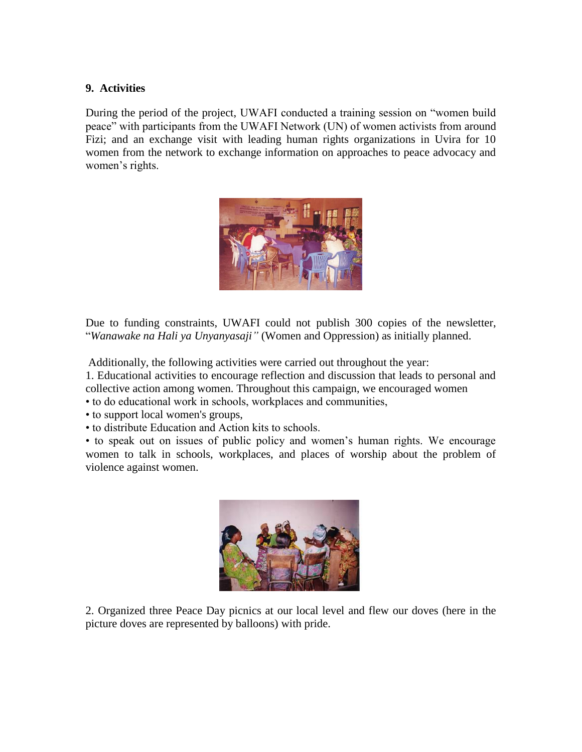#### **9. Activities**

During the period of the project, UWAFI conducted a training session on "women build peace" with participants from the UWAFI Network (UN) of women activists from around Fizi; and an exchange visit with leading human rights organizations in Uvira for 10 women from the network to exchange information on approaches to peace advocacy and women's rights.



Due to funding constraints, UWAFI could not publish 300 copies of the newsletter, "*Wanawake na Hali ya Unyanyasaji"* (Women and Oppression) as initially planned.

Additionally, the following activities were carried out throughout the year:

1. Educational activities to encourage reflection and discussion that leads to personal and collective action among women. Throughout this campaign, we encouraged women

• to do educational work in schools, workplaces and communities,

• to support local women's groups,

• to distribute Education and Action kits to schools.

• to speak out on issues of public policy and women's human rights. We encourage women to talk in schools, workplaces, and places of worship about the problem of violence against women.



2. Organized three Peace Day picnics at our local level and flew our doves (here in the picture doves are represented by balloons) with pride.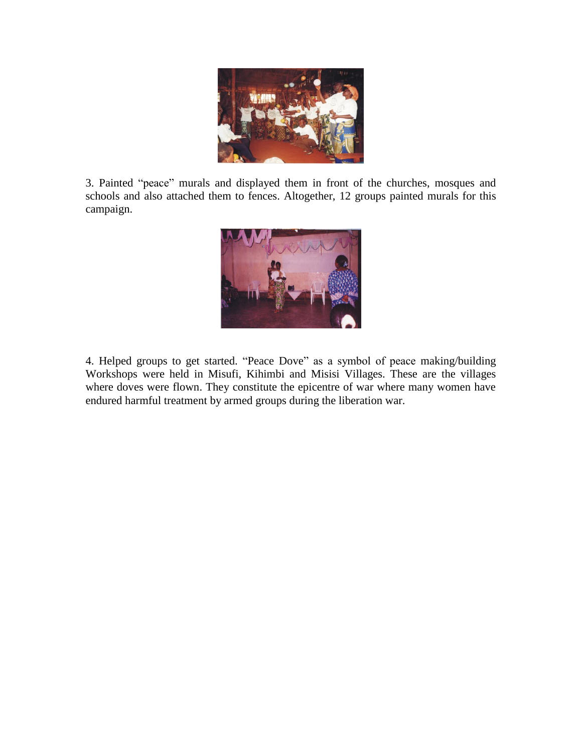

3. Painted "peace" murals and displayed them in front of the churches, mosques and schools and also attached them to fences. Altogether, 12 groups painted murals for this campaign.



4. Helped groups to get started. "Peace Dove" as a symbol of peace making/building Workshops were held in Misufi, Kihimbi and Misisi Villages. These are the villages where doves were flown. They constitute the epicentre of war where many women have endured harmful treatment by armed groups during the liberation war.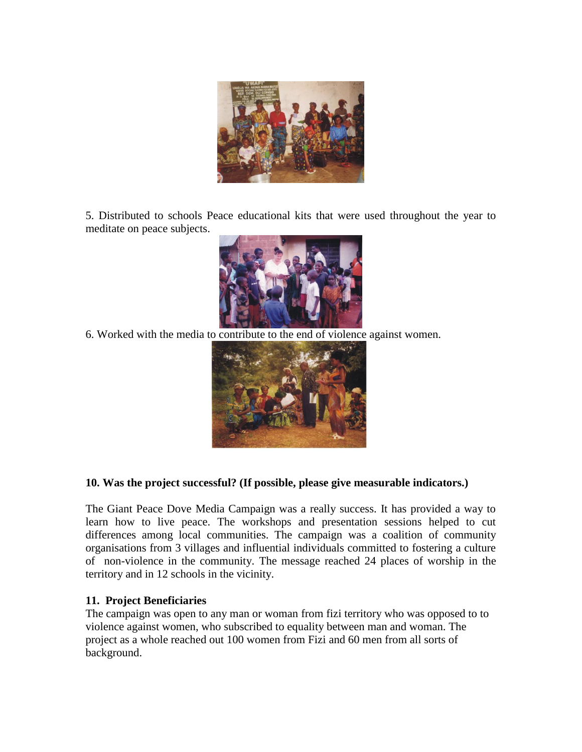

5. Distributed to schools Peace educational kits that were used throughout the year to meditate on peace subjects.



6. Worked with the media to contribute to the end of violence against women.



## **10. Was the project successful? (If possible, please give measurable indicators.)**

The Giant Peace Dove Media Campaign was a really success. It has provided a way to learn how to live peace. The workshops and presentation sessions helped to cut differences among local communities. The campaign was a coalition of community organisations from 3 villages and influential individuals committed to fostering a culture of non-violence in the community. The message reached 24 places of worship in the territory and in 12 schools in the vicinity.

## **11. Project Beneficiaries**

The campaign was open to any man or woman from fizi territory who was opposed to to violence against women, who subscribed to equality between man and woman. The project as a whole reached out 100 women from Fizi and 60 men from all sorts of background.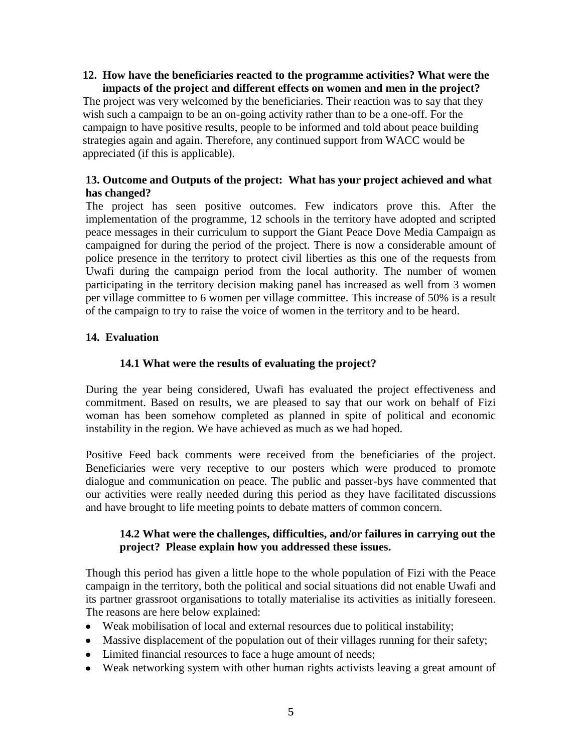#### **12. How have the beneficiaries reacted to the programme activities? What were the impacts of the project and different effects on women and men in the project?**

The project was very welcomed by the beneficiaries. Their reaction was to say that they wish such a campaign to be an on-going activity rather than to be a one-off. For the campaign to have positive results, people to be informed and told about peace building strategies again and again. Therefore, any continued support from WACC would be appreciated (if this is applicable).

# **13. Outcome and Outputs of the project: What has your project achieved and what has changed?**

The project has seen positive outcomes. Few indicators prove this. After the implementation of the programme, 12 schools in the territory have adopted and scripted peace messages in their curriculum to support the Giant Peace Dove Media Campaign as campaigned for during the period of the project. There is now a considerable amount of police presence in the territory to protect civil liberties as this one of the requests from Uwafi during the campaign period from the local authority. The number of women participating in the territory decision making panel has increased as well from 3 women per village committee to 6 women per village committee. This increase of 50% is a result of the campaign to try to raise the voice of women in the territory and to be heard.

# **14. Evaluation**

# **14.1 What were the results of evaluating the project?**

During the year being considered, Uwafi has evaluated the project effectiveness and commitment. Based on results, we are pleased to say that our work on behalf of Fizi woman has been somehow completed as planned in spite of political and economic instability in the region. We have achieved as much as we had hoped.

Positive Feed back comments were received from the beneficiaries of the project. Beneficiaries were very receptive to our posters which were produced to promote dialogue and communication on peace. The public and passer-bys have commented that our activities were really needed during this period as they have facilitated discussions and have brought to life meeting points to debate matters of common concern.

## **14.2 What were the challenges, difficulties, and/or failures in carrying out the project? Please explain how you addressed these issues.**

Though this period has given a little hope to the whole population of Fizi with the Peace campaign in the territory, both the political and social situations did not enable Uwafi and its partner grassroot organisations to totally materialise its activities as initially foreseen. The reasons are here below explained:

- Weak mobilisation of local and external resources due to political instability;
- Massive displacement of the population out of their villages running for their safety;
- Limited financial resources to face a huge amount of needs;
- Weak networking system with other human rights activists leaving a great amount of